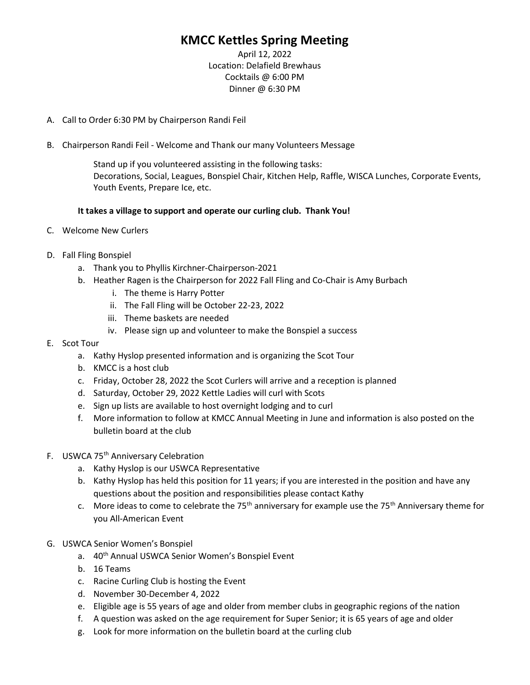## KMCC Kettles Spring Meeting

April 12, 2022 Location: Delafield Brewhaus Cocktails @ 6:00 PM Dinner @ 6:30 PM

- A. Call to Order 6:30 PM by Chairperson Randi Feil
- B. Chairperson Randi Feil Welcome and Thank our many Volunteers Message

Stand up if you volunteered assisting in the following tasks: Decorations, Social, Leagues, Bonspiel Chair, Kitchen Help, Raffle, WISCA Lunches, Corporate Events, Youth Events, Prepare Ice, etc.

#### It takes a village to support and operate our curling club. Thank You!

- C. Welcome New Curlers
- D. Fall Fling Bonspiel
	- a. Thank you to Phyllis Kirchner-Chairperson-2021
	- b. Heather Ragen is the Chairperson for 2022 Fall Fling and Co-Chair is Amy Burbach
		- i. The theme is Harry Potter
		- ii. The Fall Fling will be October 22-23, 2022
		- iii. Theme baskets are needed
		- iv. Please sign up and volunteer to make the Bonspiel a success
- E. Scot Tour
	- a. Kathy Hyslop presented information and is organizing the Scot Tour
	- b. KMCC is a host club
	- c. Friday, October 28, 2022 the Scot Curlers will arrive and a reception is planned
	- d. Saturday, October 29, 2022 Kettle Ladies will curl with Scots
	- e. Sign up lists are available to host overnight lodging and to curl
	- f. More information to follow at KMCC Annual Meeting in June and information is also posted on the bulletin board at the club
- F. USWCA 75<sup>th</sup> Anniversary Celebration
	- a. Kathy Hyslop is our USWCA Representative
	- b. Kathy Hyslop has held this position for 11 years; if you are interested in the position and have any questions about the position and responsibilities please contact Kathy
	- c. More ideas to come to celebrate the 75<sup>th</sup> anniversary for example use the 75<sup>th</sup> Anniversary theme for you All-American Event
- G. USWCA Senior Women's Bonspiel
	- a. 40<sup>th</sup> Annual USWCA Senior Women's Bonspiel Event
	- b. 16 Teams
	- c. Racine Curling Club is hosting the Event
	- d. November 30-December 4, 2022
	- e. Eligible age is 55 years of age and older from member clubs in geographic regions of the nation
	- f. A question was asked on the age requirement for Super Senior; it is 65 years of age and older
	- g. Look for more information on the bulletin board at the curling club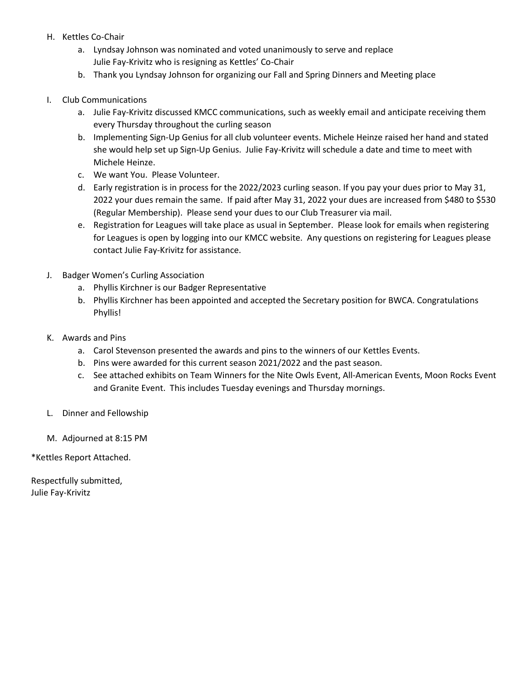- H. Kettles Co-Chair
	- a. Lyndsay Johnson was nominated and voted unanimously to serve and replace Julie Fay-Krivitz who is resigning as Kettles' Co-Chair
	- b. Thank you Lyndsay Johnson for organizing our Fall and Spring Dinners and Meeting place

#### I. Club Communications

- a. Julie Fay-Krivitz discussed KMCC communications, such as weekly email and anticipate receiving them every Thursday throughout the curling season
- b. Implementing Sign-Up Genius for all club volunteer events. Michele Heinze raised her hand and stated she would help set up Sign-Up Genius. Julie Fay-Krivitz will schedule a date and time to meet with Michele Heinze.
- c. We want You. Please Volunteer.
- d. Early registration is in process for the 2022/2023 curling season. If you pay your dues prior to May 31, 2022 your dues remain the same. If paid after May 31, 2022 your dues are increased from \$480 to \$530 (Regular Membership). Please send your dues to our Club Treasurer via mail.
- e. Registration for Leagues will take place as usual in September. Please look for emails when registering for Leagues is open by logging into our KMCC website. Any questions on registering for Leagues please contact Julie Fay-Krivitz for assistance.
- J. Badger Women's Curling Association
	- a. Phyllis Kirchner is our Badger Representative
	- b. Phyllis Kirchner has been appointed and accepted the Secretary position for BWCA. Congratulations Phyllis!
- K. Awards and Pins
	- a. Carol Stevenson presented the awards and pins to the winners of our Kettles Events.
	- b. Pins were awarded for this current season 2021/2022 and the past season.
	- c. See attached exhibits on Team Winners for the Nite Owls Event, All-American Events, Moon Rocks Event and Granite Event. This includes Tuesday evenings and Thursday mornings.
- L. Dinner and Fellowship
- M. Adjourned at 8:15 PM

\*Kettles Report Attached.

Respectfully submitted, Julie Fay-Krivitz